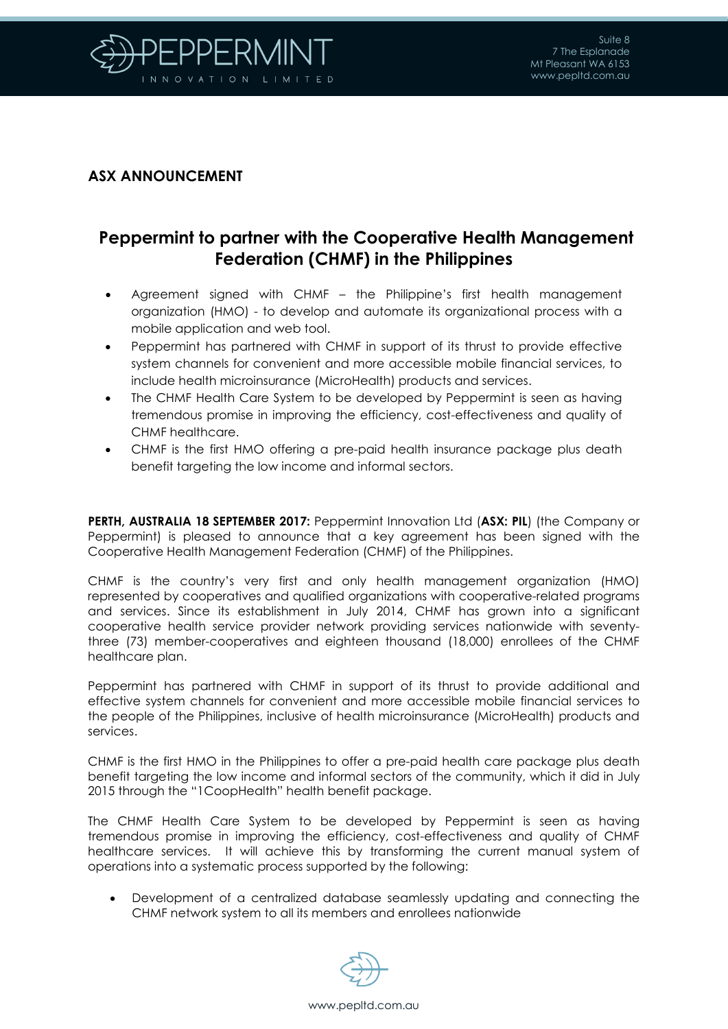

## **ASX ANNOUNCEMENT**

## **Peppermint to partner with the Cooperative Health Management Federation (CHMF) in the Philippines**

- Agreement signed with CHMF the Philippine's first health management organization (HMO) - to develop and automate its organizational process with a mobile application and web tool.
- Peppermint has partnered with CHMF in support of its thrust to provide effective system channels for convenient and more accessible mobile financial services, to include health microinsurance (MicroHealth) products and services.
- The CHMF Health Care System to be developed by Peppermint is seen as having tremendous promise in improving the efficiency, cost-effectiveness and quality of CHMF healthcare.
- CHMF is the first HMO offering a pre-paid health insurance package plus death benefit targeting the low income and informal sectors.

**PERTH, AUSTRALIA 18 SEPTEMBER 2017:** Peppermint Innovation Ltd (**ASX: PIL**) (the Company or Peppermint) is pleased to announce that a key agreement has been signed with the Cooperative Health Management Federation (CHMF) of the Philippines.

CHMF is the country's very first and only health management organization (HMO) represented by cooperatives and qualified organizations with cooperative-related programs and services. Since its establishment in July 2014, CHMF has grown into a significant cooperative health service provider network providing services nationwide with seventythree (73) member-cooperatives and eighteen thousand (18,000) enrollees of the CHMF healthcare plan.

Peppermint has partnered with CHMF in support of its thrust to provide additional and effective system channels for convenient and more accessible mobile financial services to the people of the Philippines, inclusive of health microinsurance (MicroHealth) products and services.

CHMF is the first HMO in the Philippines to offer a pre-paid health care package plus death benefit targeting the low income and informal sectors of the community, which it did in July 2015 through the "1CoopHealth" health benefit package.

The CHMF Health Care System to be developed by Peppermint is seen as having tremendous promise in improving the efficiency, cost-effectiveness and quality of CHMF healthcare services. It will achieve this by transforming the current manual system of operations into a systematic process supported by the following:

• Development of a centralized database seamlessly updating and connecting the CHMF network system to all its members and enrollees nationwide